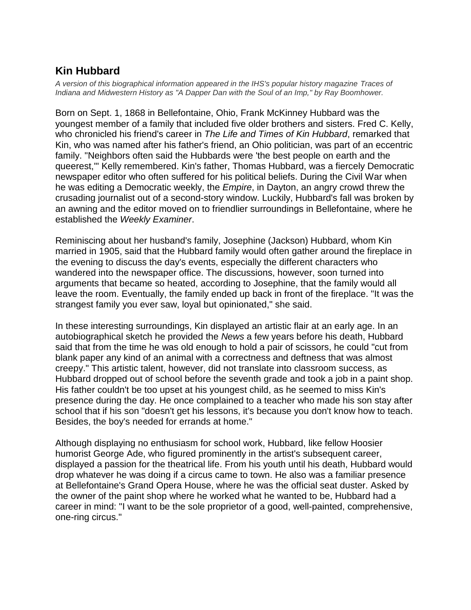## **Kin Hubbard**

*A version of this biographical information appeared in the IHS's popular history magazine Traces of Indiana and Midwestern History as "A Dapper Dan with the Soul of an Imp," by Ray Boomhower.*

Born on Sept. 1, 1868 in Bellefontaine, Ohio, Frank McKinney Hubbard was the youngest member of a family that included five older brothers and sisters. Fred C. Kelly, who chronicled his friend's career in *The Life and Times of Kin Hubbard*, remarked that Kin, who was named after his father's friend, an Ohio politician, was part of an eccentric family. "Neighbors often said the Hubbards were 'the best people on earth and the queerest,'" Kelly remembered. Kin's father, Thomas Hubbard, was a fiercely Democratic newspaper editor who often suffered for his political beliefs. During the Civil War when he was editing a Democratic weekly, the *Empire*, in Dayton, an angry crowd threw the crusading journalist out of a second-story window. Luckily, Hubbard's fall was broken by an awning and the editor moved on to friendlier surroundings in Bellefontaine, where he established the *Weekly Examiner*.

Reminiscing about her husband's family, Josephine (Jackson) Hubbard, whom Kin married in 1905, said that the Hubbard family would often gather around the fireplace in the evening to discuss the day's events, especially the different characters who wandered into the newspaper office. The discussions, however, soon turned into arguments that became so heated, according to Josephine, that the family would all leave the room. Eventually, the family ended up back in front of the fireplace. "It was the strangest family you ever saw, loyal but opinionated," she said.

In these interesting surroundings, Kin displayed an artistic flair at an early age. In an autobiographical sketch he provided the *News* a few years before his death, Hubbard said that from the time he was old enough to hold a pair of scissors, he could "cut from blank paper any kind of an animal with a correctness and deftness that was almost creepy." This artistic talent, however, did not translate into classroom success, as Hubbard dropped out of school before the seventh grade and took a job in a paint shop. His father couldn't be too upset at his youngest child, as he seemed to miss Kin's presence during the day. He once complained to a teacher who made his son stay after school that if his son "doesn't get his lessons, it's because you don't know how to teach. Besides, the boy's needed for errands at home."

Although displaying no enthusiasm for school work, Hubbard, like fellow Hoosier humorist George Ade, who figured prominently in the artist's subsequent career, displayed a passion for the theatrical life. From his youth until his death, Hubbard would drop whatever he was doing if a circus came to town. He also was a familiar presence at Bellefontaine's Grand Opera House, where he was the official seat duster. Asked by the owner of the paint shop where he worked what he wanted to be, Hubbard had a career in mind: "I want to be the sole proprietor of a good, well-painted, comprehensive, one-ring circus."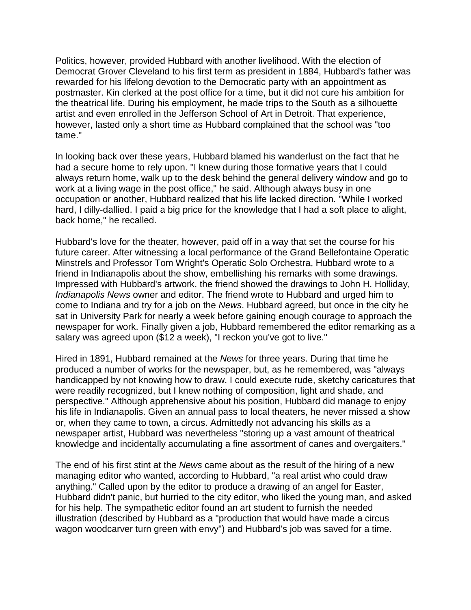Politics, however, provided Hubbard with another livelihood. With the election of Democrat Grover Cleveland to his first term as president in 1884, Hubbard's father was rewarded for his lifelong devotion to the Democratic party with an appointment as postmaster. Kin clerked at the post office for a time, but it did not cure his ambition for the theatrical life. During his employment, he made trips to the South as a silhouette artist and even enrolled in the Jefferson School of Art in Detroit. That experience, however, lasted only a short time as Hubbard complained that the school was "too tame."

In looking back over these years, Hubbard blamed his wanderlust on the fact that he had a secure home to rely upon. "I knew during those formative years that I could always return home, walk up to the desk behind the general delivery window and go to work at a living wage in the post office," he said. Although always busy in one occupation or another, Hubbard realized that his life lacked direction. "While I worked hard, I dilly-dallied. I paid a big price for the knowledge that I had a soft place to alight, back home," he recalled.

Hubbard's love for the theater, however, paid off in a way that set the course for his future career. After witnessing a local performance of the Grand Bellefontaine Operatic Minstrels and Professor Tom Wright's Operatic Solo Orchestra, Hubbard wrote to a friend in Indianapolis about the show, embellishing his remarks with some drawings. Impressed with Hubbard's artwork, the friend showed the drawings to John H. Holliday, *Indianapolis News* owner and editor. The friend wrote to Hubbard and urged him to come to Indiana and try for a job on the *News*. Hubbard agreed, but once in the city he sat in University Park for nearly a week before gaining enough courage to approach the newspaper for work. Finally given a job, Hubbard remembered the editor remarking as a salary was agreed upon (\$12 a week), "I reckon you've got to live."

Hired in 1891, Hubbard remained at the *News* for three years. During that time he produced a number of works for the newspaper, but, as he remembered, was "always handicapped by not knowing how to draw. I could execute rude, sketchy caricatures that were readily recognized, but I knew nothing of composition, light and shade, and perspective." Although apprehensive about his position, Hubbard did manage to enjoy his life in Indianapolis. Given an annual pass to local theaters, he never missed a show or, when they came to town, a circus. Admittedly not advancing his skills as a newspaper artist, Hubbard was nevertheless "storing up a vast amount of theatrical knowledge and incidentally accumulating a fine assortment of canes and overgaiters."

The end of his first stint at the *News* came about as the result of the hiring of a new managing editor who wanted, according to Hubbard, "a real artist who could draw anything." Called upon by the editor to produce a drawing of an angel for Easter, Hubbard didn't panic, but hurried to the city editor, who liked the young man, and asked for his help. The sympathetic editor found an art student to furnish the needed illustration (described by Hubbard as a "production that would have made a circus wagon woodcarver turn green with envy") and Hubbard's job was saved for a time.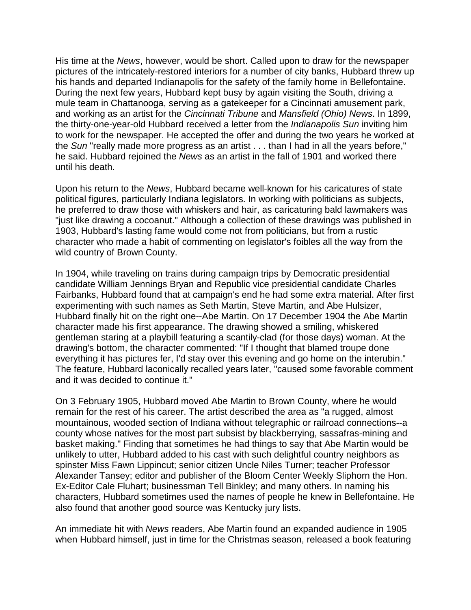His time at the *News*, however, would be short. Called upon to draw for the newspaper pictures of the intricately-restored interiors for a number of city banks, Hubbard threw up his hands and departed Indianapolis for the safety of the family home in Bellefontaine. During the next few years, Hubbard kept busy by again visiting the South, driving a mule team in Chattanooga, serving as a gatekeeper for a Cincinnati amusement park, and working as an artist for the *Cincinnati Tribune* and *Mansfield (Ohio) News*. In 1899, the thirty-one-year-old Hubbard received a letter from the *Indianapolis Sun* inviting him to work for the newspaper. He accepted the offer and during the two years he worked at the *Sun* "really made more progress as an artist . . . than I had in all the years before," he said. Hubbard rejoined the *News* as an artist in the fall of 1901 and worked there until his death.

Upon his return to the *News*, Hubbard became well-known for his caricatures of state political figures, particularly Indiana legislators. In working with politicians as subjects, he preferred to draw those with whiskers and hair, as caricaturing bald lawmakers was "just like drawing a cocoanut." Although a collection of these drawings was published in 1903, Hubbard's lasting fame would come not from politicians, but from a rustic character who made a habit of commenting on legislator's foibles all the way from the wild country of Brown County.

In 1904, while traveling on trains during campaign trips by Democratic presidential candidate William Jennings Bryan and Republic vice presidential candidate Charles Fairbanks, Hubbard found that at campaign's end he had some extra material. After first experimenting with such names as Seth Martin, Steve Martin, and Abe Hulsizer, Hubbard finally hit on the right one--Abe Martin. On 17 December 1904 the Abe Martin character made his first appearance. The drawing showed a smiling, whiskered gentleman staring at a playbill featuring a scantily-clad (for those days) woman. At the drawing's bottom, the character commented: "If I thought that blamed troupe done everything it has pictures fer, I'd stay over this evening and go home on the interubin." The feature, Hubbard laconically recalled years later, "caused some favorable comment and it was decided to continue it."

On 3 February 1905, Hubbard moved Abe Martin to Brown County, where he would remain for the rest of his career. The artist described the area as "a rugged, almost mountainous, wooded section of Indiana without telegraphic or railroad connections--a county whose natives for the most part subsist by blackberrying, sassafras-mining and basket making." Finding that sometimes he had things to say that Abe Martin would be unlikely to utter, Hubbard added to his cast with such delightful country neighbors as spinster Miss Fawn Lippincut; senior citizen Uncle Niles Turner; teacher Professor Alexander Tansey; editor and publisher of the Bloom Center Weekly Sliphorn the Hon. Ex-Editor Cale Fluhart; businessman Tell Binkley; and many others. In naming his characters, Hubbard sometimes used the names of people he knew in Bellefontaine. He also found that another good source was Kentucky jury lists.

An immediate hit with *News* readers, Abe Martin found an expanded audience in 1905 when Hubbard himself, just in time for the Christmas season, released a book featuring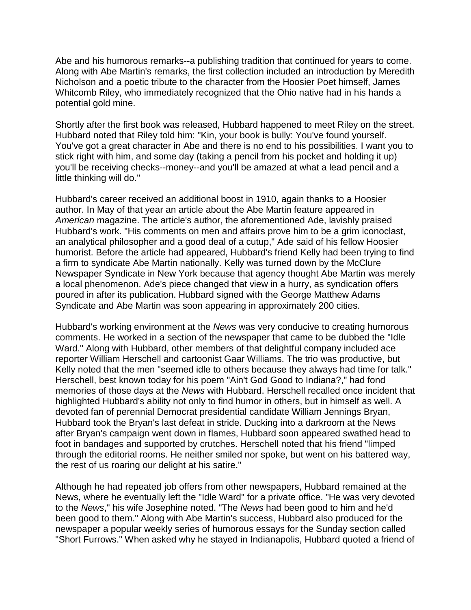Abe and his humorous remarks--a publishing tradition that continued for years to come. Along with Abe Martin's remarks, the first collection included an introduction by Meredith Nicholson and a poetic tribute to the character from the Hoosier Poet himself, James Whitcomb Riley, who immediately recognized that the Ohio native had in his hands a potential gold mine.

Shortly after the first book was released, Hubbard happened to meet Riley on the street. Hubbard noted that Riley told him: "Kin, your book is bully: You've found yourself. You've got a great character in Abe and there is no end to his possibilities. I want you to stick right with him, and some day (taking a pencil from his pocket and holding it up) you'll be receiving checks--money--and you'll be amazed at what a lead pencil and a little thinking will do."

Hubbard's career received an additional boost in 1910, again thanks to a Hoosier author. In May of that year an article about the Abe Martin feature appeared in *American* magazine. The article's author, the aforementioned Ade, lavishly praised Hubbard's work. "His comments on men and affairs prove him to be a grim iconoclast, an analytical philosopher and a good deal of a cutup," Ade said of his fellow Hoosier humorist. Before the article had appeared, Hubbard's friend Kelly had been trying to find a firm to syndicate Abe Martin nationally. Kelly was turned down by the McClure Newspaper Syndicate in New York because that agency thought Abe Martin was merely a local phenomenon. Ade's piece changed that view in a hurry, as syndication offers poured in after its publication. Hubbard signed with the George Matthew Adams Syndicate and Abe Martin was soon appearing in approximately 200 cities.

Hubbard's working environment at the *News* was very conducive to creating humorous comments. He worked in a section of the newspaper that came to be dubbed the "Idle Ward." Along with Hubbard, other members of that delightful company included ace reporter William Herschell and cartoonist Gaar Williams. The trio was productive, but Kelly noted that the men "seemed idle to others because they always had time for talk." Herschell, best known today for his poem "Ain't God Good to Indiana?," had fond memories of those days at the *News* with Hubbard. Herschell recalled once incident that highlighted Hubbard's ability not only to find humor in others, but in himself as well. A devoted fan of perennial Democrat presidential candidate William Jennings Bryan, Hubbard took the Bryan's last defeat in stride. Ducking into a darkroom at the News after Bryan's campaign went down in flames, Hubbard soon appeared swathed head to foot in bandages and supported by crutches. Herschell noted that his friend "limped through the editorial rooms. He neither smiled nor spoke, but went on his battered way, the rest of us roaring our delight at his satire."

Although he had repeated job offers from other newspapers, Hubbard remained at the News, where he eventually left the "Idle Ward" for a private office. "He was very devoted to the *News*," his wife Josephine noted. "The *News* had been good to him and he'd been good to them." Along with Abe Martin's success, Hubbard also produced for the newspaper a popular weekly series of humorous essays for the Sunday section called "Short Furrows." When asked why he stayed in Indianapolis, Hubbard quoted a friend of